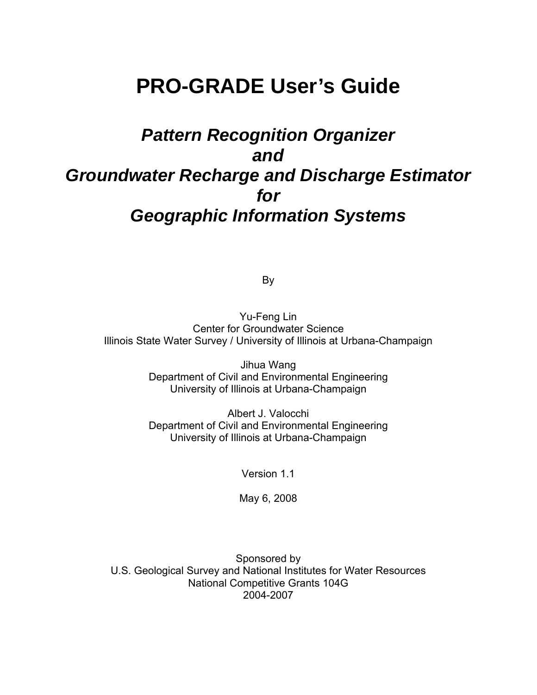# **PRO-GRADE User's Guide**

# *Pattern Recognition Organizer and Groundwater Recharge and Discharge Estimator for Geographic Information Systems*

By

Yu-Feng Lin Center for Groundwater Science Illinois State Water Survey / University of Illinois at Urbana-Champaign

> Jihua Wang Department of Civil and Environmental Engineering University of Illinois at Urbana-Champaign

> Albert J. Valocchi Department of Civil and Environmental Engineering University of Illinois at Urbana-Champaign

> > Version 1.1

May 6, 2008

Sponsored by U.S. Geological Survey and National Institutes for Water Resources National Competitive Grants 104G 2004-2007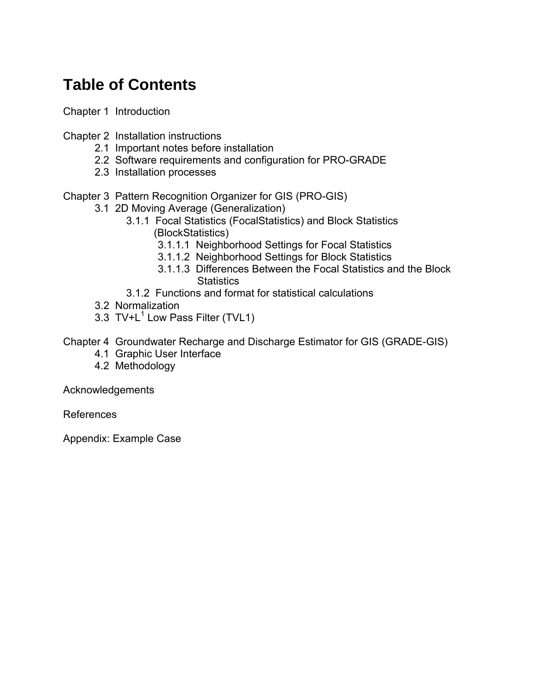# **Table of Contents**

Chapter 1 Introduction

Chapter 2 Installation instructions

- 2.1 Important notes before installation
- 2.2 Software requirements and configuration for PRO-GRADE
- 2.3 Installation processes
- Chapter 3 Pattern Recognition Organizer for GIS (PRO-GIS)
	- 3.1 2D Moving Average (Generalization)
		- 3.1.1 Focal Statistics (FocalStatistics) and Block Statistics (BlockStatistics)
			- 3.1.1.1 Neighborhood Settings for Focal Statistics
			- 3.1.1.2 Neighborhood Settings for Block Statistics
			- 3.1.1.3 Differences Between the Focal Statistics and the Block **Statistics**
		- 3.1.2 Functions and format for statistical calculations
	- 3.2 Normalization
	- 3.3 TV+ $L^1$  Low Pass Filter (TVL1)

Chapter 4 Groundwater Recharge and Discharge Estimator for GIS (GRADE-GIS)

- 4.1 Graphic User Interface
- 4.2 Methodology

Acknowledgements

References

Appendix: Example Case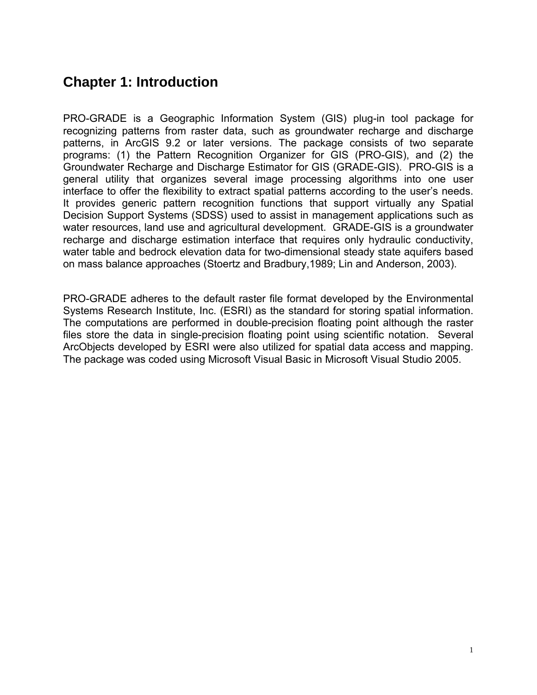## **Chapter 1: Introduction**

PRO-GRADE is a Geographic Information System (GIS) plug-in tool package for recognizing patterns from raster data, such as groundwater recharge and discharge patterns, in ArcGIS 9.2 or later versions. The package consists of two separate programs: (1) the Pattern Recognition Organizer for GIS (PRO-GIS), and (2) the Groundwater Recharge and Discharge Estimator for GIS (GRADE-GIS). PRO-GIS is a general utility that organizes several image processing algorithms into one user interface to offer the flexibility to extract spatial patterns according to the user's needs. It provides generic pattern recognition functions that support virtually any Spatial Decision Support Systems (SDSS) used to assist in management applications such as water resources, land use and agricultural development. GRADE-GIS is a groundwater recharge and discharge estimation interface that requires only hydraulic conductivity, water table and bedrock elevation data for two-dimensional steady state aquifers based on mass balance approaches (Stoertz and Bradbury,1989; Lin and Anderson, 2003).

PRO-GRADE adheres to the default raster file format developed by the Environmental Systems Research Institute, Inc. (ESRI) as the standard for storing spatial information. The computations are performed in double-precision floating point although the raster files store the data in single-precision floating point using scientific notation. Several ArcObjects developed by ESRI were also utilized for spatial data access and mapping. The package was coded using Microsoft Visual Basic in Microsoft Visual Studio 2005.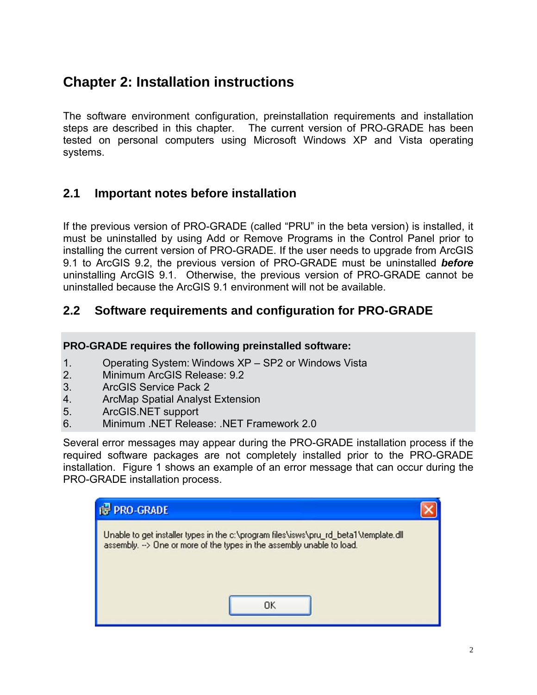# **Chapter 2: Installation instructions**

The software environment configuration, preinstallation requirements and installation steps are described in this chapter. The current version of PRO-GRADE has been tested on personal computers using Microsoft Windows XP and Vista operating systems.

### **2.1 Important notes before installation**

If the previous version of PRO-GRADE (called "PRU" in the beta version) is installed, it must be uninstalled by using Add or Remove Programs in the Control Panel prior to installing the current version of PRO-GRADE. If the user needs to upgrade from ArcGIS 9.1 to ArcGIS 9.2, the previous version of PRO-GRADE must be uninstalled *before* uninstalling ArcGIS 9.1. Otherwise, the previous version of PRO-GRADE cannot be uninstalled because the ArcGIS 9.1 environment will not be available.

### **2.2 Software requirements and configuration for PRO-GRADE**

### **PRO-GRADE requires the following preinstalled software:**

- 1. Operating System: Windows XP SP2 or Windows Vista
- 2. Minimum ArcGIS Release: 9.2
- 3. ArcGIS Service Pack 2
- 4. ArcMap Spatial Analyst Extension
- 5. ArcGIS.NET support
- 6. Minimum .NET Release: .NET Framework 2.0

Several error messages may appear during the PRO-GRADE installation process if the required software packages are not completely installed prior to the PRO-GRADE installation. Figure 1 shows an example of an error message that can occur during the PRO-GRADE installation process.

| <b>PRO-GRADE</b>                                                                                                                                                      |  |
|-----------------------------------------------------------------------------------------------------------------------------------------------------------------------|--|
| Unable to get installer types in the c:\program files\isws\pru_rd_beta1\template.dll<br>assembly. -- > One or more of the types in the assembly unable to load.<br>ПΚ |  |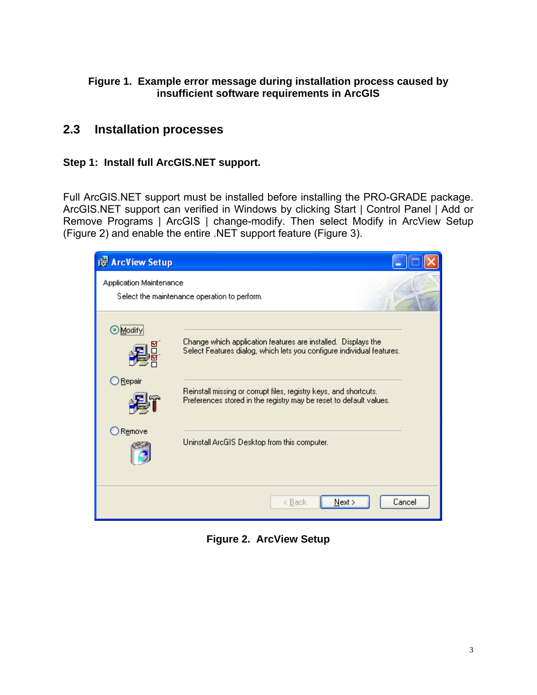### **Figure 1. Example error message during installation process caused by insufficient software requirements in ArcGIS**

### **2.3 Installation processes**

### **Step 1: Install full ArcGIS.NET support.**

Full ArcGIS.NET support must be installed before installing the PRO-GRADE package. ArcGIS.NET support can verified in Windows by clicking Start | Control Panel | Add or Remove Programs | ArcGIS | change-modify. Then select Modify in ArcView Setup (Figure 2) and enable the entire .NET support feature (Figure 3).

| <b>Ref</b> ArcView Setup |                                                                                                                                         |
|--------------------------|-----------------------------------------------------------------------------------------------------------------------------------------|
| Application Maintenance  | Select the maintenance operation to perform.                                                                                            |
| Modify)                  | Change which application features are installed. Displays the<br>Select Features dialog, which lets you configure individual features.  |
| Repair                   | Reinstall missing or corrupt files, registry keys, and shortcuts.<br>Preferences stored in the registry may be reset to default values. |
| Remove                   | Uninstall ArcGIS Desktop from this computer.                                                                                            |
|                          | Next<br>Cancel<br>< <u>B</u> ack                                                                                                        |

**Figure 2. ArcView Setup**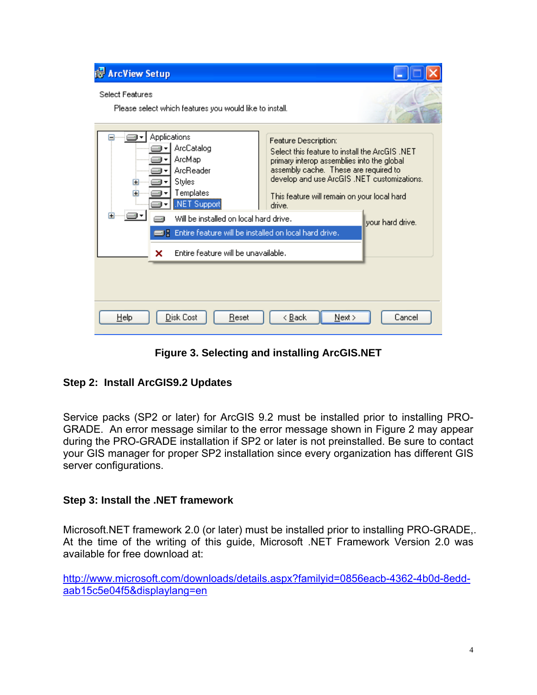| <b>Ref</b> ArcView Setup                                                                                                                                                                                                                                                   |                                                                                                                                                                                                                                                                                            |
|----------------------------------------------------------------------------------------------------------------------------------------------------------------------------------------------------------------------------------------------------------------------------|--------------------------------------------------------------------------------------------------------------------------------------------------------------------------------------------------------------------------------------------------------------------------------------------|
| <b>Select Features</b><br>Please select which features you would like to install.                                                                                                                                                                                          |                                                                                                                                                                                                                                                                                            |
| Applications<br>ArcCatalog<br>ArcMap<br>ArcReader<br>Styles<br>Œ<br>Templates<br>Ŧ<br>.NET Support<br>Ŧ<br>…i∈∎∽<br>Will be installed on local hard drive.<br><b>B</b> & Entire feature will be installed on local hard drive.<br>Entire feature will be unavailable.<br>× | Feature Description:<br>Select this feature to install the ArcGIS .NET<br>primary interop assemblies into the global<br>assembly cache. These are required to<br>develop and use ArcGIS .NET customizations.<br>This feature will remain on your local hard.<br>drive.<br>vour hard drive. |
| Disk Cost<br><b>Help</b><br>Reset                                                                                                                                                                                                                                          | < <u>B</u> ack<br>Next ><br>Cancel                                                                                                                                                                                                                                                         |

**Figure 3. Selecting and installing ArcGIS.NET** 

### **Step 2: Install ArcGIS9.2 Updates**

Service packs (SP2 or later) for ArcGIS 9.2 must be installed prior to installing PRO-GRADE. An error message similar to the error message shown in Figure 2 may appear during the PRO-GRADE installation if SP2 or later is not preinstalled. Be sure to contact your GIS manager for proper SP2 installation since every organization has different GIS server configurations.

### **Step 3: Install the .NET framework**

Microsoft.NET framework 2.0 (or later) must be installed prior to installing PRO-GRADE,. At the time of the writing of this guide, Microsoft .NET Framework Version 2.0 was available for free download at:

http://www.microsoft.com/downloads/details.aspx?familyid=0856eacb-4362-4b0d-8eddaab15c5e04f5&displaylang=en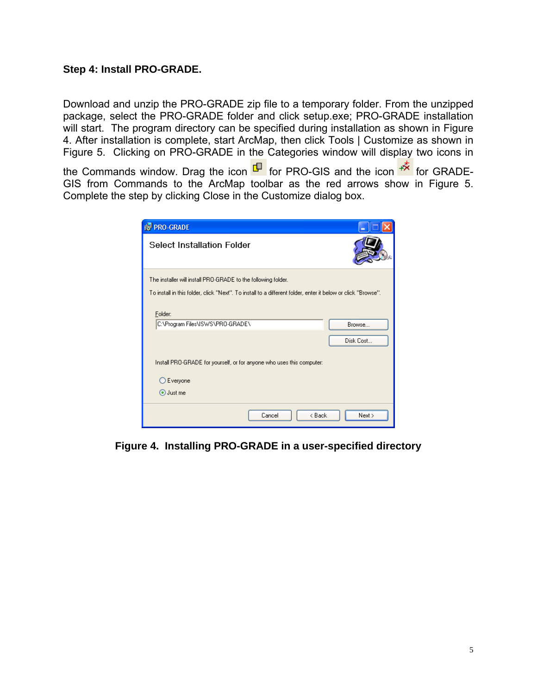#### **Step 4: Install PRO-GRADE.**

Download and unzip the PRO-GRADE zip file to a temporary folder. From the unzipped package, select the PRO-GRADE folder and click setup.exe; PRO-GRADE installation will start. The program directory can be specified during installation as shown in Figure 4. After installation is complete, start ArcMap, then click Tools | Customize as shown in Figure 5. Clicking on PRO-GRADE in the Categories window will display two icons in

the Commands window. Drag the icon  $\frac{\Box}{\Box}$  for PRO-GIS and the icon  $\frac{1}{\Box}$  for GRADE-GIS from Commands to the ArcMap toolbar as the red arrows show in Figure 5. Complete the step by clicking Close in the Customize dialog box.

| <b>IF PRO-GRADE</b>                                                                                          |  |  |  |
|--------------------------------------------------------------------------------------------------------------|--|--|--|
| <b>Select Installation Folder</b>                                                                            |  |  |  |
| The installer will install PRO-GRADE to the following folder.                                                |  |  |  |
| To install in this folder, click "Next". To install to a different folder, enter it below or click "Browse". |  |  |  |
| Folder:<br>C:\Program Files\ISWS\PRO-GRADE\<br>Browse<br>Disk Cost                                           |  |  |  |
| Install PRO-GRADE for yourself, or for anyone who uses this computer:                                        |  |  |  |
| Everyone                                                                                                     |  |  |  |
| ⊙ Just me                                                                                                    |  |  |  |
| Cancel<br>< Back<br>Next >                                                                                   |  |  |  |

**Figure 4. Installing PRO-GRADE in a user-specified directory**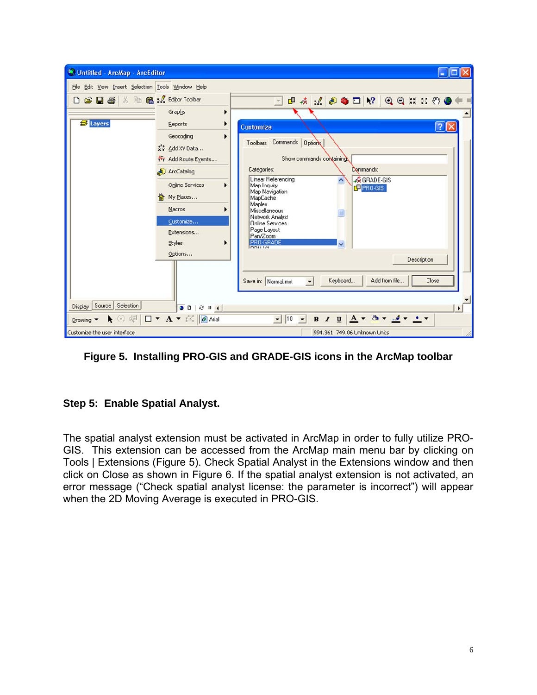

**Figure 5. Installing PRO-GIS and GRADE-GIS icons in the ArcMap toolbar** 

### **Step 5: Enable Spatial Analyst.**

The spatial analyst extension must be activated in ArcMap in order to fully utilize PRO-GIS. This extension can be accessed from the ArcMap main menu bar by clicking on Tools | Extensions (Figure 5). Check Spatial Analyst in the Extensions window and then click on Close as shown in Figure 6. If the spatial analyst extension is not activated, an error message ("Check spatial analyst license: the parameter is incorrect") will appear when the 2D Moving Average is executed in PRO-GIS.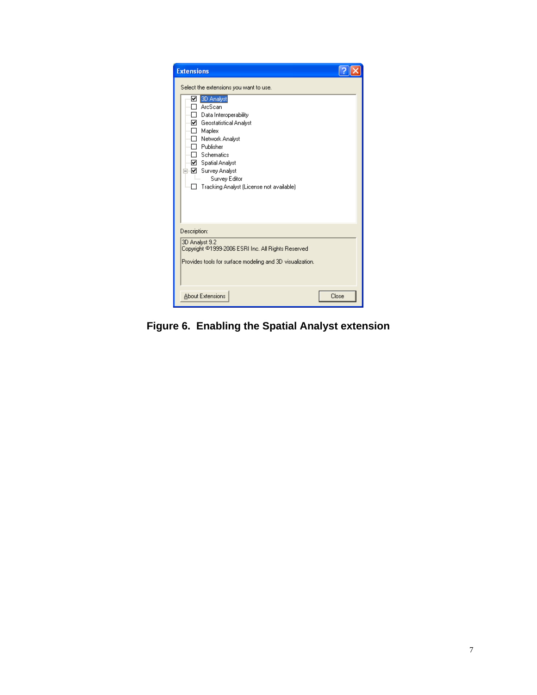| <b>Extensions</b>                                                                                                                                                                                                                                                                                                  |       |
|--------------------------------------------------------------------------------------------------------------------------------------------------------------------------------------------------------------------------------------------------------------------------------------------------------------------|-------|
| Select the extensions you want to use.<br>■ 3D Analyst<br>ArcScan<br>П<br>Data Interoperability<br>M Geostatistical Analyst<br>$\Box$ Maplex<br>□ Network Analyst<br>□ Publisher<br>$\Box$ Schematics<br>☑ Spatial Analyst<br>--☑ Survey Analyst<br>Ξ<br>Survey Editor<br>Tracking Analyst (License not available) |       |
| Description:<br>3D Analyst 9.2<br>Copyright ©1999-2006 ESRI Inc. All Rights Reserved<br>Provides tools for surface modeling and 3D visualization.                                                                                                                                                                  |       |
| <b>About Extensions</b>                                                                                                                                                                                                                                                                                            | Close |

**Figure 6. Enabling the Spatial Analyst extension**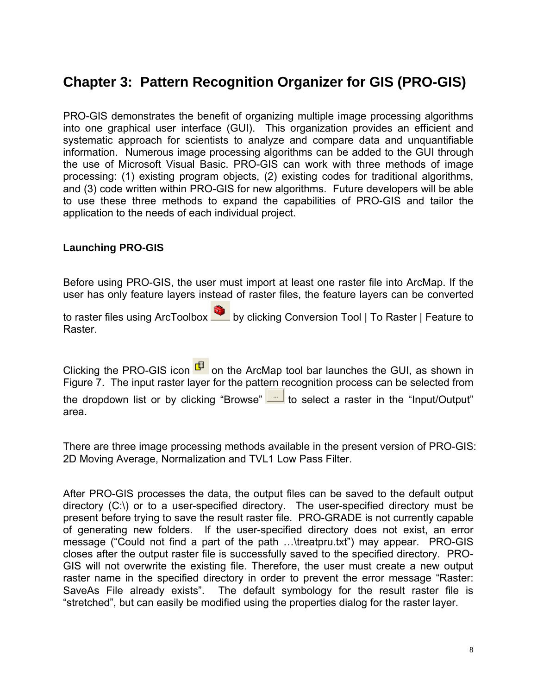# **Chapter 3: Pattern Recognition Organizer for GIS (PRO-GIS)**

PRO-GIS demonstrates the benefit of organizing multiple image processing algorithms into one graphical user interface (GUI). This organization provides an efficient and systematic approach for scientists to analyze and compare data and unquantifiable information. Numerous image processing algorithms can be added to the GUI through the use of Microsoft Visual Basic. PRO-GIS can work with three methods of image processing: (1) existing program objects, (2) existing codes for traditional algorithms, and (3) code written within PRO-GIS for new algorithms. Future developers will be able to use these three methods to expand the capabilities of PRO-GIS and tailor the application to the needs of each individual project.

#### **Launching PRO-GIS**

Before using PRO-GIS, the user must import at least one raster file into ArcMap. If the user has only feature layers instead of raster files, the feature layers can be converted

to raster files using ArcToolbox by clicking Conversion Tool | To Raster | Feature to Raster.

Clicking the PRO-GIS icon  $\frac{\Box}{\Box}$  on the ArcMap tool bar launches the GUI, as shown in Figure 7. The input raster layer for the pattern recognition process can be selected from the dropdown list or by clicking "Browse" to select a raster in the "Input/Output" area.

There are three image processing methods available in the present version of PRO-GIS: 2D Moving Average, Normalization and TVL1 Low Pass Filter.

After PRO-GIS processes the data, the output files can be saved to the default output directory (C:\) or to a user-specified directory. The user-specified directory must be present before trying to save the result raster file. PRO-GRADE is not currently capable of generating new folders. If the user-specified directory does not exist, an error message ("Could not find a part of the path …\treatpru.txt") may appear. PRO-GIS closes after the output raster file is successfully saved to the specified directory. PRO-GIS will not overwrite the existing file. Therefore, the user must create a new output raster name in the specified directory in order to prevent the error message "Raster: SaveAs File already exists". The default symbology for the result raster file is "stretched", but can easily be modified using the properties dialog for the raster layer.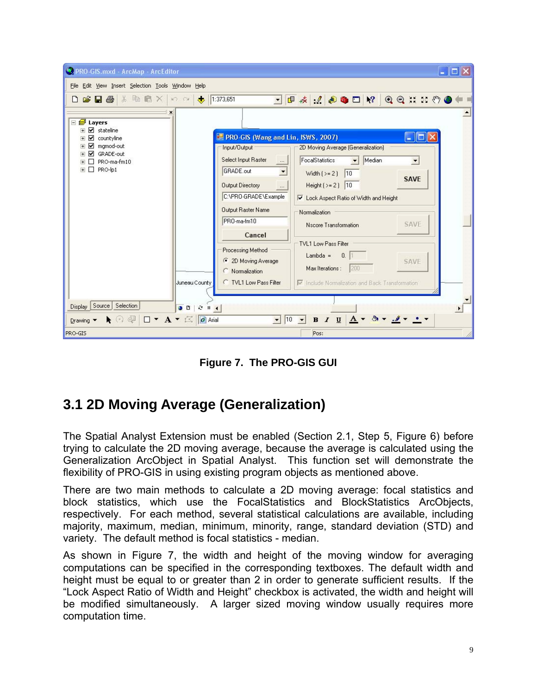

**Figure 7. The PRO-GIS GUI** 

# **3.1 2D Moving Average (Generalization)**

The Spatial Analyst Extension must be enabled (Section 2.1, Step 5, Figure 6) before trying to calculate the 2D moving average, because the average is calculated using the Generalization ArcObject in Spatial Analyst. This function set will demonstrate the flexibility of PRO-GIS in using existing program objects as mentioned above.

There are two main methods to calculate a 2D moving average: focal statistics and block statistics, which use the FocalStatistics and BlockStatistics ArcObjects, respectively. For each method, several statistical calculations are available, including majority, maximum, median, minimum, minority, range, standard deviation (STD) and variety. The default method is focal statistics - median.

As shown in Figure 7, the width and height of the moving window for averaging computations can be specified in the corresponding textboxes. The default width and height must be equal to or greater than 2 in order to generate sufficient results. If the "Lock Aspect Ratio of Width and Height" checkbox is activated, the width and height will be modified simultaneously. A larger sized moving window usually requires more computation time.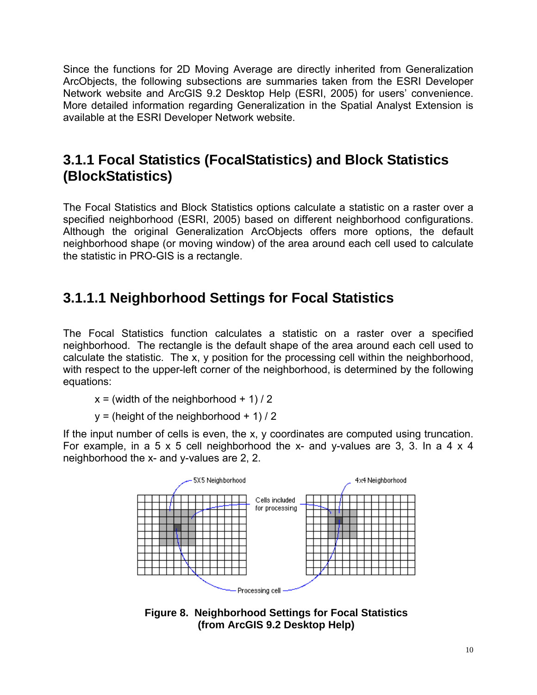Since the functions for 2D Moving Average are directly inherited from Generalization ArcObjects, the following subsections are summaries taken from the ESRI Developer Network website and ArcGIS 9.2 Desktop Help (ESRI, 2005) for users' convenience. More detailed information regarding Generalization in the Spatial Analyst Extension is available at the ESRI Developer Network website.

# **3.1.1 Focal Statistics (FocalStatistics) and Block Statistics (BlockStatistics)**

The Focal Statistics and Block Statistics options calculate a statistic on a raster over a specified neighborhood (ESRI, 2005) based on different neighborhood configurations. Although the original Generalization ArcObjects offers more options, the default neighborhood shape (or moving window) of the area around each cell used to calculate the statistic in PRO-GIS is a rectangle.

# **3.1.1.1 Neighborhood Settings for Focal Statistics**

The Focal Statistics function calculates a statistic on a raster over a specified neighborhood. The rectangle is the default shape of the area around each cell used to calculate the statistic. The x, y position for the processing cell within the neighborhood, with respect to the upper-left corner of the neighborhood, is determined by the following equations:

- $x = (width of the neighborhood + 1) / 2$
- $y = (height of the neighborhood + 1) / 2$

If the input number of cells is even, the x, y coordinates are computed using truncation. For example, in a 5 x 5 cell neighborhood the x- and y-values are 3, 3. In a 4 x 4 neighborhood the x- and y-values are 2, 2.



**Figure 8. Neighborhood Settings for Focal Statistics (from ArcGIS 9.2 Desktop Help)**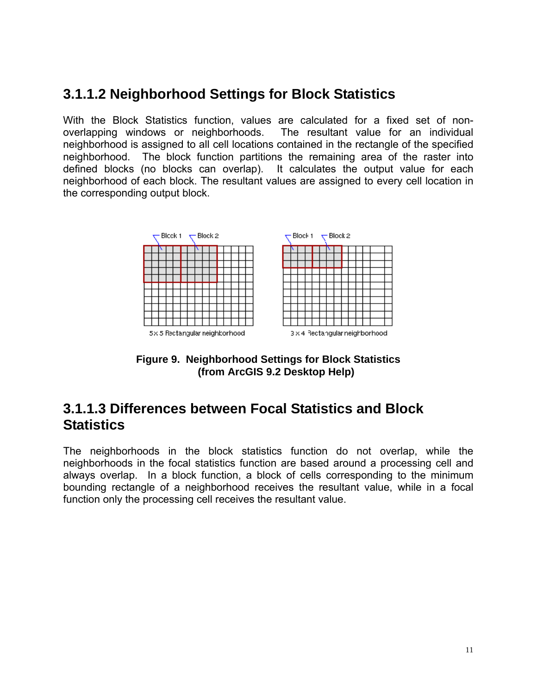# **3.1.1.2 Neighborhood Settings for Block Statistics**

With the Block Statistics function, values are calculated for a fixed set of nonoverlapping windows or neighborhoods. The resultant value for an individual neighborhood is assigned to all cell locations contained in the rectangle of the specified neighborhood. The block function partitions the remaining area of the raster into defined blocks (no blocks can overlap). It calculates the output value for each neighborhood of each block. The resultant values are assigned to every cell location in the corresponding output block.



**Figure 9. Neighborhood Settings for Block Statistics (from ArcGIS 9.2 Desktop Help)**

## **3.1.1.3 Differences between Focal Statistics and Block Statistics**

The neighborhoods in the block statistics function do not overlap, while the neighborhoods in the focal statistics function are based around a processing cell and always overlap. In a block function, a block of cells corresponding to the minimum bounding rectangle of a neighborhood receives the resultant value, while in a focal function only the processing cell receives the resultant value.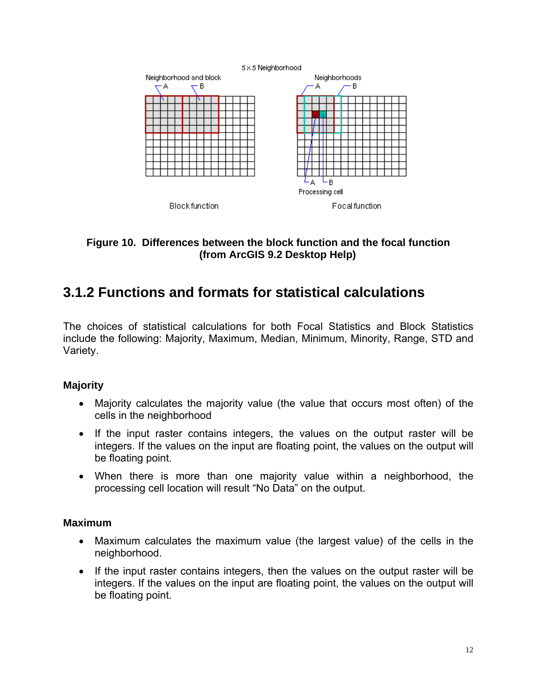

### **Figure 10. Differences between the block function and the focal function (from ArcGIS 9.2 Desktop Help)**

# **3.1.2 Functions and formats for statistical calculations**

The choices of statistical calculations for both Focal Statistics and Block Statistics include the following: Majority, Maximum, Median, Minimum, Minority, Range, STD and Variety.

#### **Majority**

- Majority calculates the majority value (the value that occurs most often) of the cells in the neighborhood
- If the input raster contains integers, the values on the output raster will be integers. If the values on the input are floating point, the values on the output will be floating point.
- When there is more than one majority value within a neighborhood, the processing cell location will result "No Data" on the output.

#### **Maximum**

- Maximum calculates the maximum value (the largest value) of the cells in the neighborhood.
- If the input raster contains integers, then the values on the output raster will be integers. If the values on the input are floating point, the values on the output will be floating point.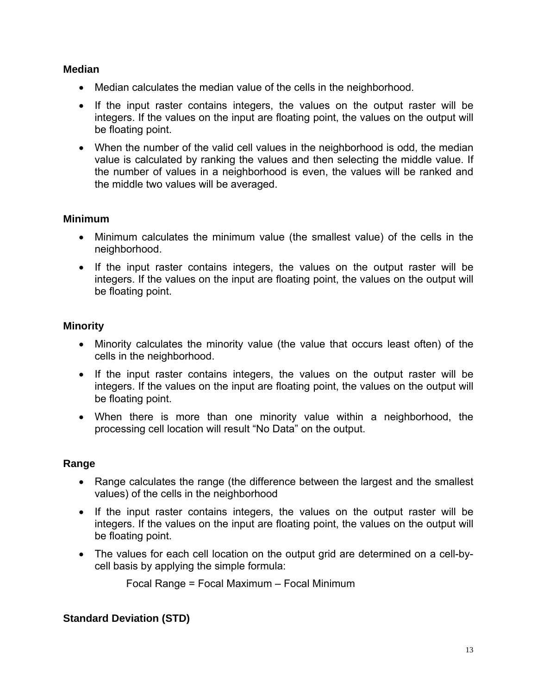### **Median**

- Median calculates the median value of the cells in the neighborhood.
- If the input raster contains integers, the values on the output raster will be integers. If the values on the input are floating point, the values on the output will be floating point.
- When the number of the valid cell values in the neighborhood is odd, the median value is calculated by ranking the values and then selecting the middle value. If the number of values in a neighborhood is even, the values will be ranked and the middle two values will be averaged.

### **Minimum**

- Minimum calculates the minimum value (the smallest value) of the cells in the neighborhood.
- If the input raster contains integers, the values on the output raster will be integers. If the values on the input are floating point, the values on the output will be floating point.

### **Minority**

- Minority calculates the minority value (the value that occurs least often) of the cells in the neighborhood.
- If the input raster contains integers, the values on the output raster will be integers. If the values on the input are floating point, the values on the output will be floating point.
- When there is more than one minority value within a neighborhood, the processing cell location will result "No Data" on the output.

### **Range**

- Range calculates the range (the difference between the largest and the smallest values) of the cells in the neighborhood
- If the input raster contains integers, the values on the output raster will be integers. If the values on the input are floating point, the values on the output will be floating point.
- The values for each cell location on the output grid are determined on a cell-bycell basis by applying the simple formula:

Focal Range = Focal Maximum – Focal Minimum

### **Standard Deviation (STD)**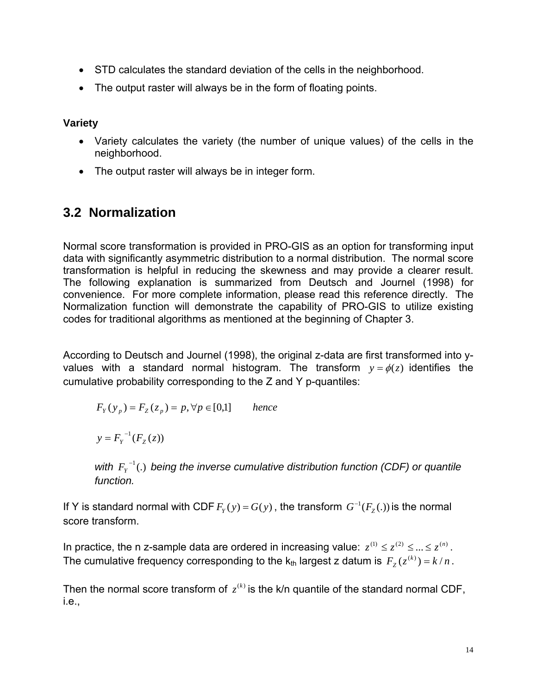- STD calculates the standard deviation of the cells in the neighborhood.
- The output raster will always be in the form of floating points.

**Variety** 

- Variety calculates the variety (the number of unique values) of the cells in the neighborhood.
- The output raster will always be in integer form.

# **3.2 Normalization**

Normal score transformation is provided in PRO-GIS as an option for transforming input data with significantly asymmetric distribution to a normal distribution. The normal score transformation is helpful in reducing the skewness and may provide a clearer result. The following explanation is summarized from Deutsch and Journel (1998) for convenience. For more complete information, please read this reference directly. The Normalization function will demonstrate the capability of PRO-GIS to utilize existing codes for traditional algorithms as mentioned at the beginning of Chapter 3.

According to Deutsch and Journel (1998), the original z-data are first transformed into yvalues with a standard normal histogram. The transform  $y = \phi(z)$  identifies the cumulative probability corresponding to the Z and Y p-quantiles:

$$
F_Y(y_p) = F_Z(z_p) = p, \forall p \in [0,1] \qquad hence
$$

 $y = F_Y^{-1}(F_Z(z))$ 

*with*  $F_Y^{-1}$ *(.) being the inverse cumulative distribution function (CDF) or quantile function.* 

If Y is standard normal with CDF  $F_Y(y) = G(y)$ , the transform  $G^{-1}(F_Z(.))$  is the normal score transform.

In practice, the n z-sample data are ordered in increasing value:  $z^{(1)} \leq z^{(2)} \leq ... \leq z^{(n)}$ . The cumulative frequency corresponding to the  $k_{th}$  largest z datum is  $F_z(z^{(k)}) = k/n$ .

Then the normal score transform of  $z^{(k)}$  is the k/n quantile of the standard normal CDF, i.e.,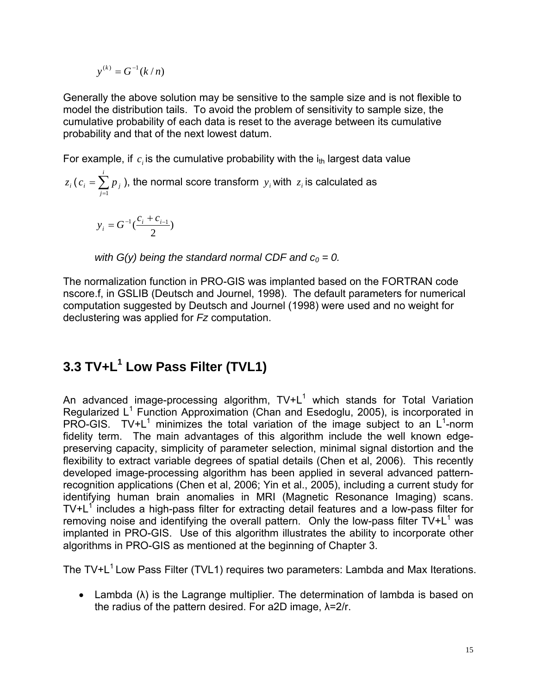$$
y^{(k)}=G^{-1}(k/n)
$$

Generally the above solution may be sensitive to the sample size and is not flexible to model the distribution tails. To avoid the problem of sensitivity to sample size, the cumulative probability of each data is reset to the average between its cumulative probability and that of the next lowest datum.

For example, if  $c_i$  is the cumulative probability with the  $i_{th}$  largest data value

$$
z_i (c_i = \sum_{j=1}^i p_j),
$$
 the normal score transform  $y_i$  with  $z_i$  is calculated as

$$
y_i = G^{-1}(\frac{c_i + c_{i-1}}{2})
$$

with  $G(y)$  being the standard normal CDF and  $c_0 = 0$ .

The normalization function in PRO-GIS was implanted based on the FORTRAN code nscore.f, in GSLIB (Deutsch and Journel, 1998). The default parameters for numerical computation suggested by Deutsch and Journel (1998) were used and no weight for declustering was applied for *Fz* computation.

# **3.3 TV+L<sup>1</sup> Low Pass Filter (TVL1)**

An advanced image-processing algorithm,  $TV+L^1$  which stands for Total Variation Regularized  $L^1$  Function Approximation (Chan and Esedoglu, 2005), is incorporated in PRO-GIS. TV+L<sup>1</sup> minimizes the total variation of the image subject to an L<sup>1</sup>-norm fidelity term. The main advantages of this algorithm include the well known edgepreserving capacity, simplicity of parameter selection, minimal signal distortion and the flexibility to extract variable degrees of spatial details (Chen et al, 2006). This recently developed image-processing algorithm has been applied in several advanced patternrecognition applications (Chen et al, 2006; Yin et al., 2005), including a current study for identifying human brain anomalies in MRI (Magnetic Resonance Imaging) scans.  $TV+L<sup>1</sup>$  includes a high-pass filter for extracting detail features and a low-pass filter for removing noise and identifying the overall pattern. Only the low-pass filter  $TV+L^1$  was implanted in PRO-GIS. Use of this algorithm illustrates the ability to incorporate other algorithms in PRO-GIS as mentioned at the beginning of Chapter 3.

The  $TV+L<sup>1</sup>$  Low Pass Filter (TVL1) requires two parameters: Lambda and Max Iterations.

• Lambda  $(\lambda)$  is the Lagrange multiplier. The determination of lambda is based on the radius of the pattern desired. For a2D image, λ=2/r.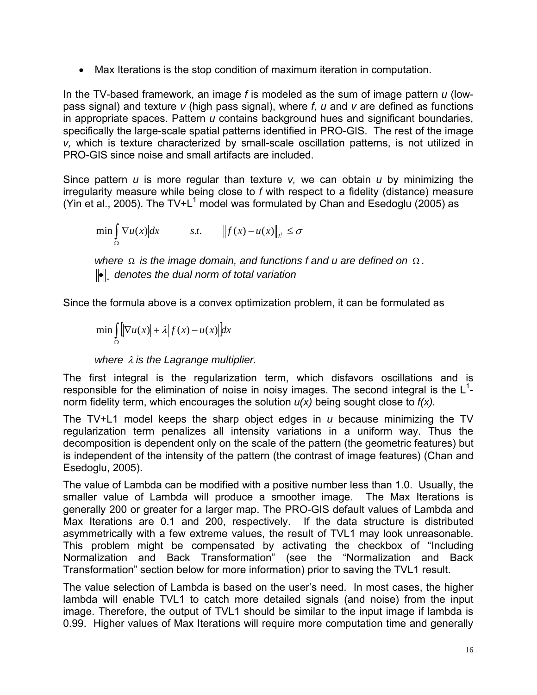• Max Iterations is the stop condition of maximum iteration in computation.

In the TV-based framework, an image *f* is modeled as the sum of image pattern *u* (lowpass signal) and texture *v* (high pass signal), where *f, u* and *v* are defined as functions in appropriate spaces. Pattern *u* contains background hues and significant boundaries, specifically the large-scale spatial patterns identified in PRO-GIS. The rest of the image *v,* which is texture characterized by small-scale oscillation patterns, is not utilized in PRO-GIS since noise and small artifacts are included.

Since pattern *u* is more regular than texture *v,* we can obtain *u* by minimizing the irregularity measure while being close to *f* with respect to a fidelity (distance) measure (Yin et al., 2005). The TV+L<sup>1</sup> model was formulated by Chan and Esedoglu (2005) as

$$
\min_{\Omega} \left\| \nabla u(x) \middle| dx \right\|_{L^1} \leq \sigma
$$

*where* Ω *is the image domain, and functions f and u are defined on* Ω *.*  **•** denotes the dual norm of total variation

Since the formula above is a convex optimization problem, it can be formulated as

$$
\min_{\Omega} \iint_{\Omega} \left| \nabla u(x) \right| + \lambda \left| f(x) - u(x) \right| dx
$$

*where* λ *is the Lagrange multiplier.* 

The first integral is the regularization term, which disfavors oscillations and is responsible for the elimination of noise in noisy images. The second integral is the  $L<sup>1</sup>$ norm fidelity term, which encourages the solution *u(x)* being sought close to *f(x).*

The TV+L1 model keeps the sharp object edges in *u* because minimizing the TV regularization term penalizes all intensity variations in a uniform way. Thus the decomposition is dependent only on the scale of the pattern (the geometric features) but is independent of the intensity of the pattern (the contrast of image features) (Chan and Esedoglu, 2005).

The value of Lambda can be modified with a positive number less than 1.0. Usually, the smaller value of Lambda will produce a smoother image. The Max Iterations is generally 200 or greater for a larger map. The PRO-GIS default values of Lambda and Max Iterations are 0.1 and 200, respectively. If the data structure is distributed asymmetrically with a few extreme values, the result of TVL1 may look unreasonable. This problem might be compensated by activating the checkbox of "Including Normalization and Back Transformation" (see the "Normalization and Back Transformation" section below for more information) prior to saving the TVL1 result.

The value selection of Lambda is based on the user's need. In most cases, the higher lambda will enable TVL1 to catch more detailed signals (and noise) from the input image. Therefore, the output of TVL1 should be similar to the input image if lambda is 0.99. Higher values of Max Iterations will require more computation time and generally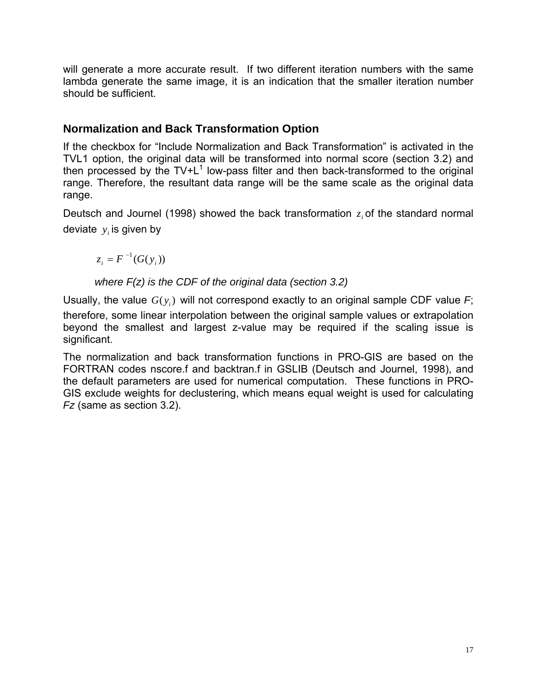will generate a more accurate result. If two different iteration numbers with the same lambda generate the same image, it is an indication that the smaller iteration number should be sufficient.

### **Normalization and Back Transformation Option**

If the checkbox for "Include Normalization and Back Transformation" is activated in the TVL1 option, the original data will be transformed into normal score (section 3.2) and then processed by the  $TV+L^1$  low-pass filter and then back-transformed to the original range. Therefore, the resultant data range will be the same scale as the original data range.

Deutsch and Journel (1998) showed the back transformation  $z_i$  of the standard normal deviate  $y_i$  is given by

 $z_i = F^{-1}(G(y_i))$ 

*where F(z) is the CDF of the original data (section 3.2)* 

Usually, the value  $G(y_i)$  will not correspond exactly to an original sample CDF value *F*; therefore, some linear interpolation between the original sample values or extrapolation beyond the smallest and largest z-value may be required if the scaling issue is significant.

The normalization and back transformation functions in PRO-GIS are based on the FORTRAN codes nscore.f and backtran.f in GSLIB (Deutsch and Journel, 1998), and the default parameters are used for numerical computation. These functions in PRO-GIS exclude weights for declustering, which means equal weight is used for calculating *Fz* (same as section 3.2).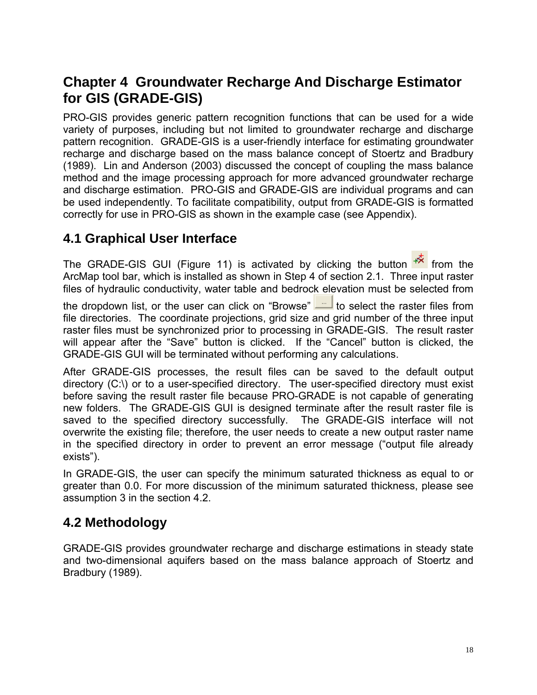# **Chapter 4 Groundwater Recharge And Discharge Estimator for GIS (GRADE-GIS)**

PRO-GIS provides generic pattern recognition functions that can be used for a wide variety of purposes, including but not limited to groundwater recharge and discharge pattern recognition. GRADE-GIS is a user-friendly interface for estimating groundwater recharge and discharge based on the mass balance concept of Stoertz and Bradbury (1989). Lin and Anderson (2003) discussed the concept of coupling the mass balance method and the image processing approach for more advanced groundwater recharge and discharge estimation. PRO-GIS and GRADE-GIS are individual programs and can be used independently. To facilitate compatibility, output from GRADE-GIS is formatted correctly for use in PRO-GIS as shown in the example case (see Appendix).

### **4.1 Graphical User Interface**

The GRADE-GIS GUI (Figure 11) is activated by clicking the button  $\mathbb{R}$  from the ArcMap tool bar, which is installed as shown in Step 4 of section 2.1. Three input raster files of hydraulic conductivity, water table and bedrock elevation must be selected from

the dropdown list, or the user can click on "Browse"  $\boxed{\phantom{a}^{\phantom{\dagger}}\phantom{a}}$  to select the raster files from file directories. The coordinate projections, grid size and grid number of the three input raster files must be synchronized prior to processing in GRADE-GIS. The result raster will appear after the "Save" button is clicked. If the "Cancel" button is clicked, the GRADE-GIS GUI will be terminated without performing any calculations.

After GRADE-GIS processes, the result files can be saved to the default output directory (C:\) or to a user-specified directory. The user-specified directory must exist before saving the result raster file because PRO-GRADE is not capable of generating new folders. The GRADE-GIS GUI is designed terminate after the result raster file is saved to the specified directory successfully. The GRADE-GIS interface will not overwrite the existing file; therefore, the user needs to create a new output raster name in the specified directory in order to prevent an error message ("output file already exists").

In GRADE-GIS, the user can specify the minimum saturated thickness as equal to or greater than 0.0. For more discussion of the minimum saturated thickness, please see assumption 3 in the section 4.2.

### **4.2 Methodology**

GRADE-GIS provides groundwater recharge and discharge estimations in steady state and two-dimensional aquifers based on the mass balance approach of Stoertz and Bradbury (1989).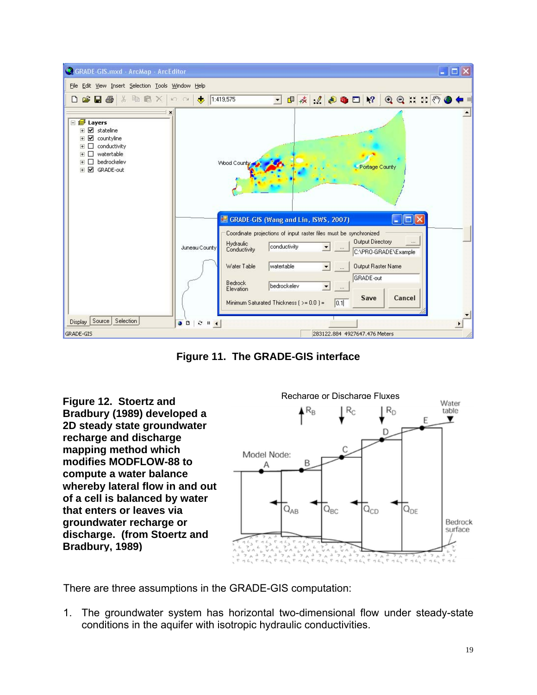

**Figure 11. The GRADE-GIS interface** 



There are three assumptions in the GRADE-GIS computation:

1. The groundwater system has horizontal two-dimensional flow under steady-state conditions in the aquifer with isotropic hydraulic conductivities.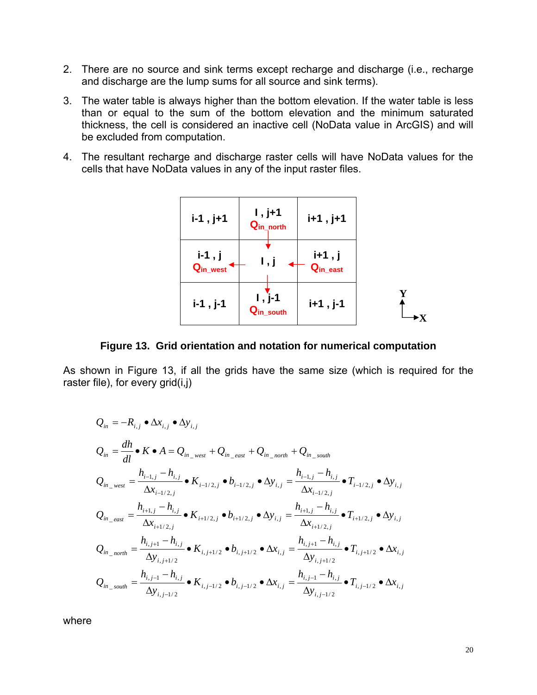- 2. There are no source and sink terms except recharge and discharge (i.e., recharge and discharge are the lump sums for all source and sink terms).
- 3. The water table is always higher than the bottom elevation. If the water table is less than or equal to the sum of the bottom elevation and the minimum saturated thickness, the cell is considered an inactive cell (NoData value in ArcGIS) and will be excluded from computation.
- 4. The resultant recharge and discharge raster cells will have NoData values for the cells that have NoData values in any of the input raster files.



**Figure 13. Grid orientation and notation for numerical computation** 

As shown in Figure 13, if all the grids have the same size (which is required for the raster file), for every grid(i,j)

$$
Q_{in} = -R_{i,j} \bullet \Delta x_{i,j} \bullet \Delta y_{i,j}
$$
\n
$$
Q_{in} = \frac{dh}{dl} \bullet K \bullet A = Q_{in\_west} + Q_{in\_east} + Q_{in\_north} + Q_{in\_south}
$$
\n
$$
Q_{in\_west} = \frac{h_{i-1,j} - h_{i,j}}{\Delta x_{i-1/2,j}} \bullet K_{i-1/2,j} \bullet b_{i-1/2,j} \bullet \Delta y_{i,j} = \frac{h_{i-1,j} - h_{i,j}}{\Delta x_{i-1/2,j}} \bullet T_{i-1/2,j} \bullet \Delta y_{i,j}
$$
\n
$$
Q_{in\_east} = \frac{h_{i+1,j} - h_{i,j}}{\Delta x_{i+1/2,j}} \bullet K_{i+1/2,j} \bullet b_{i+1/2,j} \bullet \Delta y_{i,j} = \frac{h_{i+1,j} - h_{i,j}}{\Delta x_{i+1/2,j}} \bullet T_{i+1/2,j} \bullet \Delta y_{i,j}
$$
\n
$$
Q_{in\_north} = \frac{h_{i,j+1} - h_{i,j}}{\Delta y_{i,j+1/2}} \bullet K_{i,j+1/2} \bullet b_{i,j+1/2} \bullet \Delta x_{i,j} = \frac{h_{i,j+1} - h_{i,j}}{\Delta y_{i,j+1/2}} \bullet T_{i,j+1/2} \bullet \Delta x_{i,j}
$$
\n
$$
Q_{in\_south} = \frac{h_{i,j-1} - h_{i,j}}{\Delta y_{i,j-1/2}} \bullet K_{i,j-1/2} \bullet b_{i,j-1/2} \bullet \Delta x_{i,j} = \frac{h_{i,j-1} - h_{i,j}}{\Delta y_{i,j-1/2}} \bullet T_{i,j-1/2} \bullet \Delta x_{i,j}
$$

where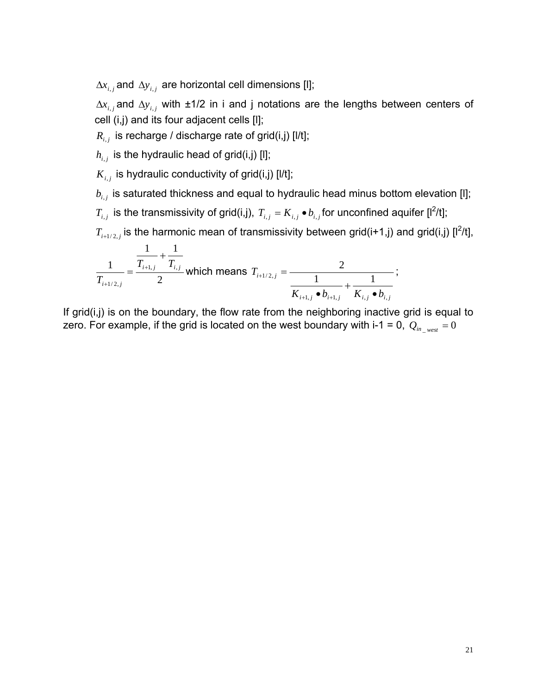$\Delta x_{i,j}$  and  $\Delta y_{i,j}$  are horizontal cell dimensions [I];

 $\Delta x_{i,j}$  and  $\Delta y_{i,j}$  with ±1/2 in i and j notations are the lengths between centers of cell (i,j) and its four adjacent cells [l];

 $R_{i,j}$  is recharge / discharge rate of grid(i,j) [l/t];

 $h_{i,j}$  is the hydraulic head of grid(i,j) [I];

 $K_{i,i}$  is hydraulic conductivity of grid(i,j) [ $1/t$ ];

 $b_{i,j}$  is saturated thickness and equal to hydraulic head minus bottom elevation [I];

 $T_{i,j}$  is the transmissivity of grid(i,j),  $T_{i,j} = K_{i,j} \bullet b_{i,j}$  for unconfined aquifer [l<sup>2</sup>/t];

 $T_{i+1/2,j}$  is the harmonic mean of transmissivity between grid(i+1,j) and grid(i,j) [l<sup>2</sup>/t],

$$
\frac{1}{T_{i+1/2,j}} = \frac{\frac{1}{T_{i+1,j}} + \frac{1}{T_{i,j}}}{2}
$$
 which means  $T_{i+1/2,j} = \frac{2}{\frac{1}{K_{i+1,j} \cdot b_{i+1,j}}} + \frac{1}{K_{i,j} \cdot b_{i,j}}$ ;

If grid(i,j) is on the boundary, the flow rate from the neighboring inactive grid is equal to zero. For example, if the grid is located on the west boundary with i-1 = 0,  $Q_{in\_west} = 0$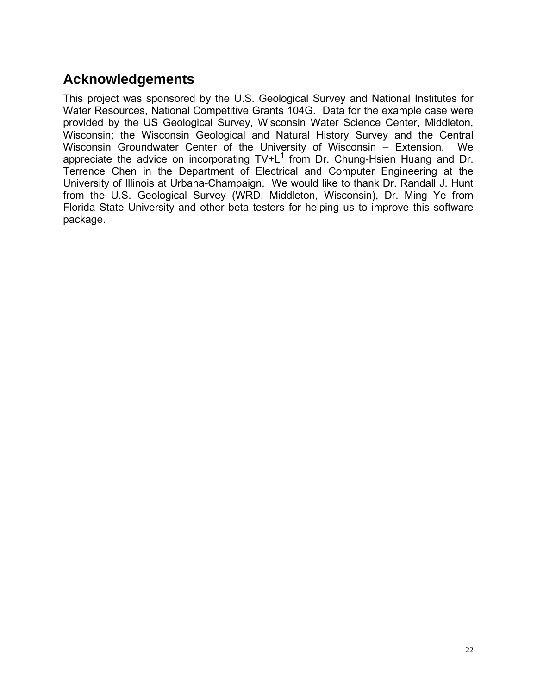# **Acknowledgements**

This project was sponsored by the U.S. Geological Survey and National Institutes for Water Resources, National Competitive Grants 104G. Data for the example case were provided by the US Geological Survey, Wisconsin Water Science Center, Middleton, Wisconsin; the Wisconsin Geological and Natural History Survey and the Central Wisconsin Groundwater Center of the University of Wisconsin – Extension. We appreciate the advice on incorporating  $TV+L^1$  from Dr. Chung-Hsien Huang and Dr. Terrence Chen in the Department of Electrical and Computer Engineering at the University of Illinois at Urbana-Champaign. We would like to thank Dr. Randall J. Hunt from the U.S. Geological Survey (WRD, Middleton, Wisconsin), Dr. Ming Ye from Florida State University and other beta testers for helping us to improve this software package.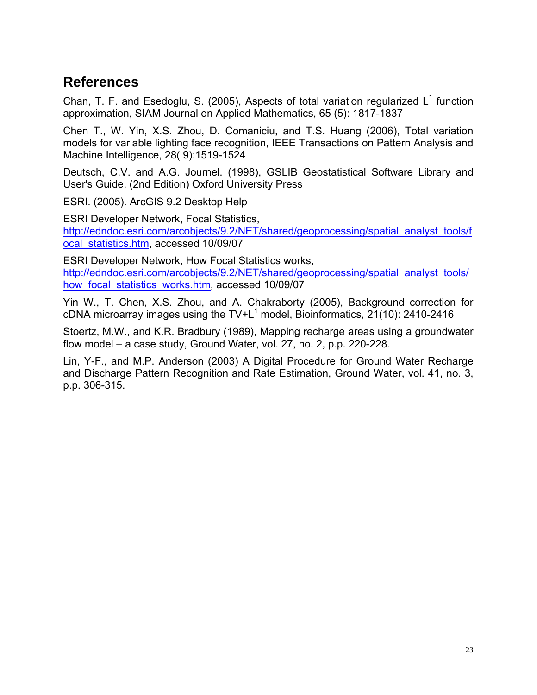## **References**

Chan, T. F. and Esedoglu, S. (2005), Aspects of total variation regularized  $L^1$  function approximation, SIAM Journal on Applied Mathematics, 65 (5): 1817-1837

Chen T., W. Yin, X.S. Zhou, D. Comaniciu, and T.S. Huang (2006), Total variation models for variable lighting face recognition, IEEE Transactions on Pattern Analysis and Machine Intelligence, 28( 9):1519-1524

Deutsch, C.V. and A.G. Journel. (1998), GSLIB Geostatistical Software Library and User's Guide. (2nd Edition) Oxford University Press

ESRI. (2005). ArcGIS 9.2 Desktop Help

ESRI Developer Network, Focal Statistics, http://edndoc.esri.com/arcobjects/9.2/NET/shared/geoprocessing/spatial\_analyst\_tools/f ocal\_statistics.htm, accessed 10/09/07

ESRI Developer Network, How Focal Statistics works, http://edndoc.esri.com/arcobjects/9.2/NET/shared/geoprocessing/spatial\_analyst\_tools/ how focal statistics works.htm, accessed 10/09/07

Yin W., T. Chen, X.S. Zhou, and A. Chakraborty (2005), Background correction for cDNA microarray images using the TV+L<sup>1</sup> model, Bioinformatics,  $21(10)$ : 2410-2416

Stoertz, M.W., and K.R. Bradbury (1989), Mapping recharge areas using a groundwater flow model – a case study, Ground Water, vol. 27, no. 2, p.p. 220-228.

Lin, Y-F., and M.P. Anderson (2003) A Digital Procedure for Ground Water Recharge and Discharge Pattern Recognition and Rate Estimation, Ground Water, vol. 41, no. 3, p.p. 306-315.